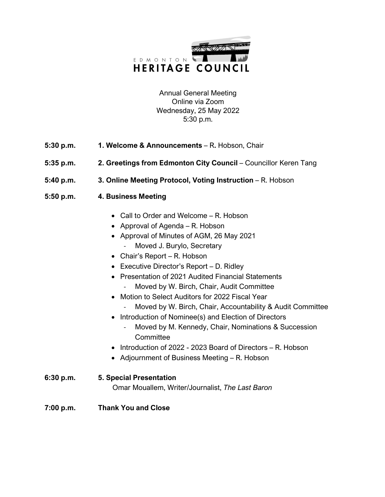

Annual General Meeting Online via Zoom Wednesday, 25 May 2022 5:30 p.m.

- **5:30 p.m. 1. Welcome & Announcements**  R**.** Hobson, Chair
- **5:35 p.m. 2. Greetings from Edmonton City Council Councillor Keren Tang**
- **5:40 p.m. 3. Online Meeting Protocol, Voting Instruction**  R. Hobson
- **5:50 p.m. 4. Business Meeting**
	- Call to Order and Welcome R. Hobson
	- Approval of Agenda R. Hobson
	- Approval of Minutes of AGM, 26 May 2021
		- Moved J. Burylo, Secretary
	- Chair's Report R. Hobson
	- Executive Director's Report D. Ridley
	- Presentation of 2021 Audited Financial Statements
		- Moved by W. Birch, Chair, Audit Committee
	- Motion to Select Auditors for 2022 Fiscal Year
		- Moved by W. Birch, Chair, Accountability & Audit Committee
	- Introduction of Nominee(s) and Election of Directors
		- Moved by M. Kennedy, Chair, Nominations & Succession **Committee**
	- Introduction of 2022 2023 Board of Directors R. Hobson
	- Adjournment of Business Meeting R. Hobson
- **6:30 p.m. 5. Special Presentation** Omar Mouallem, Writer/Journalist, *The Last Baron*
- **7:00 p.m. Thank You and Close**